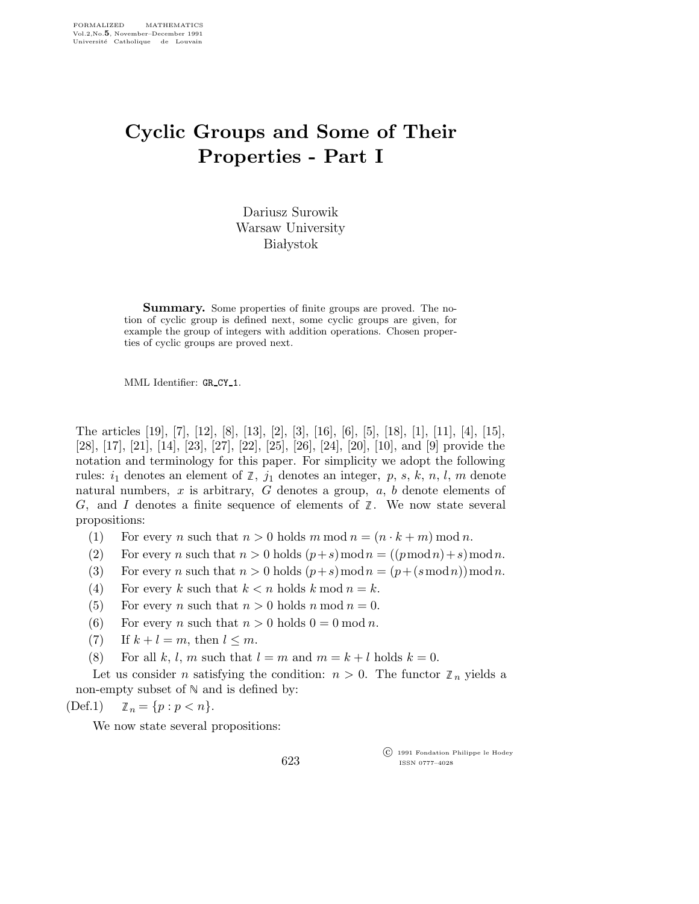## Cyclic Groups and Some of Their Properties - Part I

Dariusz Surowik Warsaw University **Białystok** 

Summary. Some properties of finite groups are proved. The notion of cyclic group is defined next, some cyclic groups are given, for example the group of integers with addition operations. Chosen properties of cyclic groups are proved next.

MML Identifier: GR CY 1.

The articles [19], [7], [12], [8], [13], [2], [3], [16], [6], [5], [18], [1], [11], [4], [15], [28], [17], [21], [14], [23], [27], [22], [25], [26], [24], [20], [10], and [9] provide the notation and terminology for this paper. For simplicity we adopt the following rules:  $i_1$  denotes an element of  $\mathbb{Z}$ ,  $j_1$  denotes an integer, p, s, k, n, l, m denote natural numbers, x is arbitrary, G denotes a group,  $a, b$  denote elements of G, and I denotes a finite sequence of elements of  $\mathbb{Z}$ . We now state several propositions:

- (1) For every *n* such that  $n > 0$  holds  $m \mod n = (n \cdot k + m) \mod n$ .
- (2) For every n such that  $n > 0$  holds  $(p+s) \mod n = ((p \mod n) + s) \mod n$ .
- (3) For every n such that  $n > 0$  holds  $(p+s) \mod n = (p + (s \mod n)) \mod n$ .
- (4) For every k such that  $k < n$  holds k mod  $n = k$ .
- (5) For every *n* such that  $n > 0$  holds *n* mod  $n = 0$ .
- (6) For every *n* such that  $n > 0$  holds  $0 = 0$  mod *n*.
- (7) If  $k+l=m$ , then  $l \leq m$ .
- (8) For all k, l, m such that  $l = m$  and  $m = k + l$  holds  $k = 0$ .

Let us consider *n* satisfying the condition:  $n > 0$ . The functor  $\mathbb{Z}_n$  yields a non-empty subset of  $\mathbb N$  and is defined by:

623

$$
(Def.1) \qquad \mathbb{Z}_n = \{p : p < n\}.
$$

We now state several propositions:

 c 1991 Fondation Philippe le Hodey ISSN 0777–4028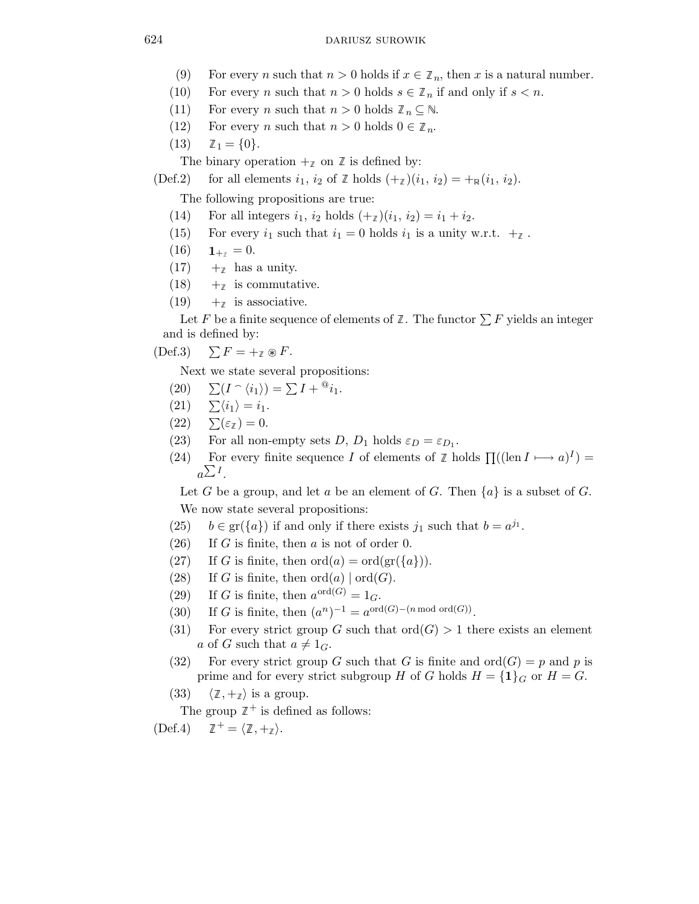- (9) For every *n* such that  $n > 0$  holds if  $x \in \mathbb{Z}_n$ , then x is a natural number.
- (10) For every n such that  $n > 0$  holds  $s \in \mathbb{Z}_n$  if and only if  $s < n$ .
- (11) For every *n* such that  $n > 0$  holds  $\mathbb{Z}_n \subseteq \mathbb{N}$ .
- (12) For every *n* such that  $n > 0$  holds  $0 \in \mathbb{Z}_n$ .
- $(13) \quad \mathbb{Z}_1 = \{0\}.$

The binary operation  $+_{\mathcal{I}}$  on  $\mathbb Z$  is defined by:

(Def.2) for all elements  $i_1$ ,  $i_2$  of  $\mathbb Z$  holds  $(+_{\mathbb Z})(i_1, i_2) = +_{\mathbb R}(i_1, i_2)$ .

The following propositions are true:

- (14) For all integers  $i_1$ ,  $i_2$  holds  $(+_{{\mathbb{Z}}})(i_1, i_2) = i_1 + i_2$ .
- (15) For every  $i_1$  such that  $i_1 = 0$  holds  $i_1$  is a unity w.r.t.  $+_{\mathcal{I}}$ .
- $(16)$   $1_{+7} = 0.$
- $(17)$  +  $\#$  has a unity.
- $(18)$  + is commutative.
- $(19) +_{\mathbb{Z}}$  is associative.

Let F be a finite sequence of elements of  $\mathbb Z$ . The functor  $\sum F$  yields an integer and is defined by:

$$
(\text{Def.3}) \quad \sum F = +_{\mathbb{Z}} \circledast F.
$$

Next we state several propositions:

- (20)  $\sum (I \cap \langle i_1 \rangle) = \sum I + {}^{\textcircled{a}} i_1.$
- $(21)$   $\sum \langle i_1 \rangle = i_1.$
- $(22)$   $\sum(\varepsilon_{\ell}) = 0.$
- (23) For all non-empty sets  $D, D_1$  holds  $\varepsilon_D = \varepsilon_{D_1}$ .
- (24) For every finite sequence I of elements of  $\mathbb{Z}$  holds  $\Pi((\text{len } I \rightarrow a)^{I}) =$  $a^{\sum I}$ .

Let G be a group, and let a be an element of G. Then  $\{a\}$  is a subset of G. We now state several propositions:

- (25)  $b \in \text{gr}(\{a\})$  if and only if there exists  $j_1$  such that  $b = a^{j_1}$ .
- $(26)$  If G is finite, then a is not of order 0.
- (27) If G is finite, then  $\text{ord}(a) = \text{ord}(\text{gr}(\{a\})).$
- (28) If G is finite, then  $ord(a) | ord(G)$ .
- (29) If G is finite, then  $a^{\text{ord}(G)} = 1_G$ .
- (30) If G is finite, then  $(a^n)^{-1} = a^{\text{ord}(G)-(n \mod \text{ord}(G))}$ .
- (31) For every strict group G such that  $\text{ord}(G) > 1$  there exists an element a of G such that  $a \neq 1_G$ .
- (32) For every strict group G such that G is finite and  $\text{ord}(G) = p$  and p is prime and for every strict subgroup H of G holds  $H = \{1\}_G$  or  $H = G$ .
- (33)  $\langle \mathbb{Z}, +_{\mathbb{Z}} \rangle$  is a group.

The group  $\mathbb{Z}^+$  is defined as follows:

 $(\text{Def.4}) \quad \mathbb{Z}^+ = \langle \mathbb{Z}, +\mathbb{Z} \rangle.$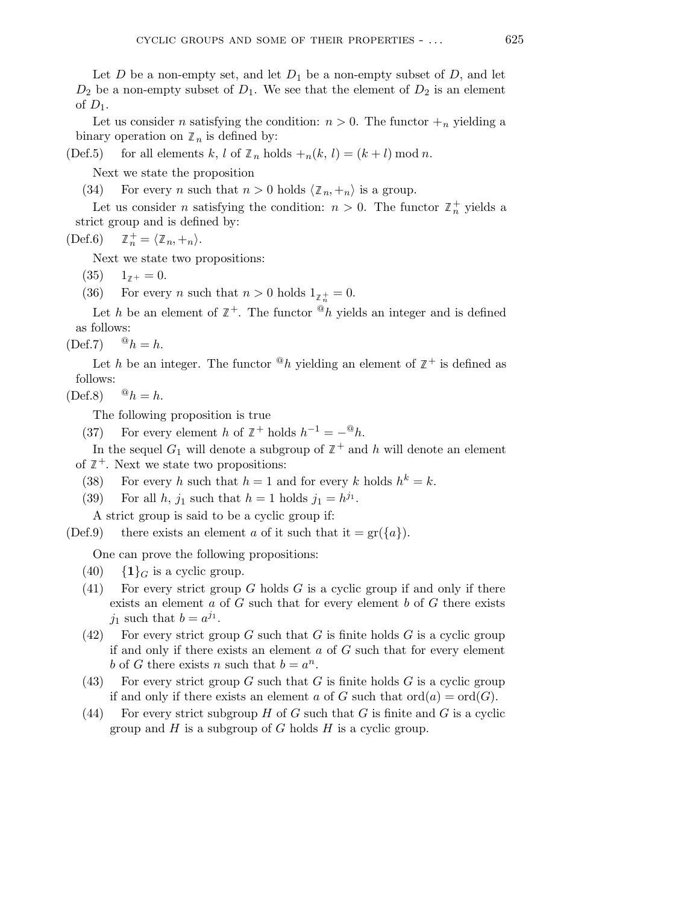Let D be a non-empty set, and let  $D_1$  be a non-empty subset of D, and let  $D_2$  be a non-empty subset of  $D_1$ . We see that the element of  $D_2$  is an element of  $D_1$ .

Let us consider *n* satisfying the condition:  $n > 0$ . The functor  $\mathcal{H}_n$  yielding a binary operation on  $\mathbb{Z}_n$  is defined by:

(Def.5) for all elements k, l of  $\mathbb{Z}_n$  holds  $\mathbb{Z}_n(k, l) = (k + l) \mod n$ .

Next we state the proposition

(34) For every *n* such that  $n > 0$  holds  $\langle \mathbb{Z}_n, +_n \rangle$  is a group.

Let us consider *n* satisfying the condition:  $n > 0$ . The functor  $\mathbb{Z}_n^+$  yields a strict group and is defined by:

 $(Def.6)$  $\mathbb{Z}_n^+ = \langle \mathbb{Z}_n, +_n \rangle.$ 

Next we state two propositions:

 $(35)$   $1_{7+} = 0.$ 

(36) For every *n* such that  $n > 0$  holds  $1_{\mathbb{Z}_n^+} = 0$ .

Let h be an element of  $\mathbb{Z}^+$ . The functor  ${}^@h$  yields an integer and is defined as follows:

 $(\text{Def.7})$   $\Phi_h = h$ .

Let h be an integer. The functor  $^@h$  yielding an element of  $\mathbb{Z}^+$  is defined as follows:

 $(Def.8)$   $@h = h.$ 

The following proposition is true

(37) For every element h of  $\mathbb{Z}^+$  holds  $h^{-1} = -{}^@h$ .

In the sequel  $G_1$  will denote a subgroup of  $\mathbb{Z}^+$  and h will denote an element of  $\mathbb{Z}^+$ . Next we state two propositions:

- (38) For every h such that  $h = 1$  and for every k holds  $h^k = k$ .
- (39) For all  $h$ ,  $j_1$  such that  $h = 1$  holds  $j_1 = h^{j_1}$ .

A strict group is said to be a cyclic group if:

(Def.9) there exists an element a of it such that it =  $gr({a}).$ 

One can prove the following propositions:

- (40)  $\{1\}_G$  is a cyclic group.
- (41) For every strict group G holds G is a cyclic group if and only if there exists an element  $a$  of  $G$  such that for every element  $b$  of  $G$  there exists  $j_1$  such that  $b = a^{j_1}$ .
- (42) For every strict group G such that G is finite holds G is a cyclic group if and only if there exists an element  $a$  of  $G$  such that for every element b of G there exists n such that  $b = a^n$ .
- (43) For every strict group G such that G is finite holds G is a cyclic group if and only if there exists an element a of G such that  $\text{ord}(a) = \text{ord}(G)$ .
- (44) For every strict subgroup H of G such that G is finite and G is a cyclic group and H is a subgroup of G holds H is a cyclic group.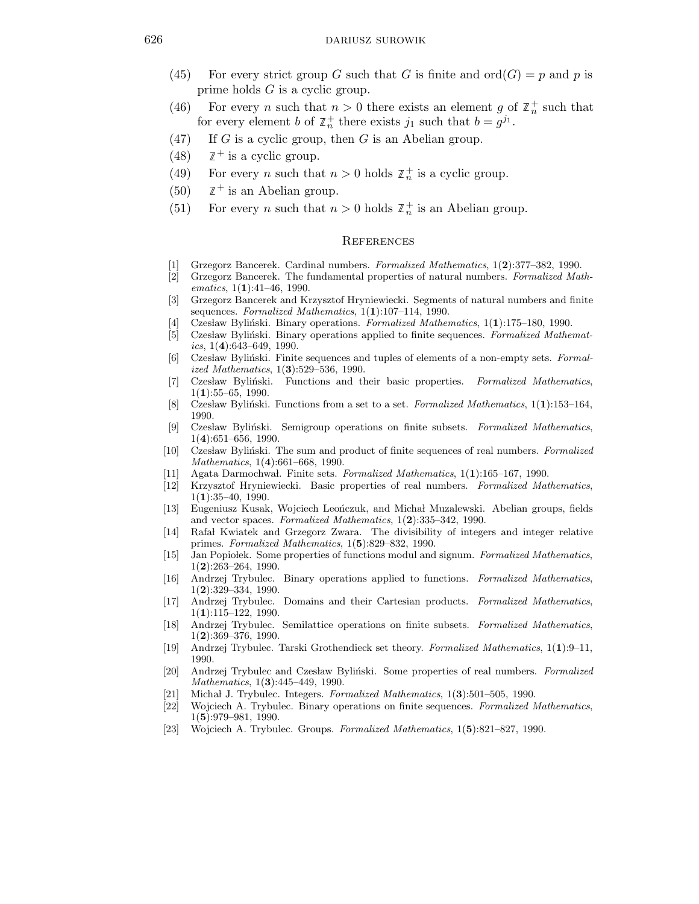- (45) For every strict group G such that G is finite and  $\text{ord}(G) = p$  and p is prime holds G is a cyclic group.
- (46) For every *n* such that  $n > 0$  there exists an element g of  $\mathbb{Z}_n^+$  such that for every element b of  $\mathbb{Z}_n^+$  there exists  $j_1$  such that  $b = g^{j_1}$ .
- (47) If G is a cyclic group, then G is an Abelian group.
- (48)  $\mathbb{Z}^+$  is a cyclic group.
- (49) For every *n* such that  $n > 0$  holds  $\mathbb{Z}_n^+$  is a cyclic group.
- (50)  $\mathbb{Z}^+$  is an Abelian group.
- (51) For every *n* such that  $n > 0$  holds  $\mathbb{Z}_n^+$  is an Abelian group.

## **REFERENCES**

- [1] Grzegorz Bancerek. Cardinal numbers. Formalized Mathematics, 1(2):377–382, 1990.
- [2] Grzegorz Bancerek. The fundamental properties of natural numbers. Formalized Mathematics,  $1(1):41-46$ , 1990.
- [3] Grzegorz Bancerek and Krzysztof Hryniewiecki. Segments of natural numbers and finite sequences. Formalized Mathematics, 1(1):107-114, 1990.
- [4] Czesław Byliński. Binary operations. Formalized Mathematics,  $1(1):175-180$ , 1990.
- [5] Czesław Byliński. Binary operations applied to finite sequences. Formalized Mathematics,  $1(4):643-649$ , 1990.
- [6] Czesław Byliński. Finite sequences and tuples of elements of a non-empty sets. Formalized Mathematics, 1(3):529–536, 1990.
- [7] Czesław Byliński. Functions and their basic properties. Formalized Mathematics,  $1(1):55-65, 1990.$
- [8] Czesław Byliński. Functions from a set to a set. Formalized Mathematics,  $1(1)$ :153–164, 1990.
- [9] Czesław Byliński. Semigroup operations on finite subsets. Formalized Mathematics, 1(4):651–656, 1990.
- [10] Czesław Byliński. The sum and product of finite sequences of real numbers. Formalized Mathematics, 1(4):661–668, 1990.
- [11] Agata Darmochwal. Finite sets. Formalized Mathematics,  $1(1):165-167$ . 1990.
- [12] Krzysztof Hryniewiecki. Basic properties of real numbers. Formalized Mathematics,  $1(1):35-40, 1990.$
- [13] Eugeniusz Kusak, Wojciech Leonczuk, and Michał Muzalewski. Abelian groups, fields and vector spaces. Formalized Mathematics, 1(2):335–342, 1990.
- [14] Rafał Kwiatek and Grzegorz Zwara. The divisibility of integers and integer relative primes. Formalized Mathematics, 1(5):829–832, 1990.
- [15] Jan Popiolek. Some properties of functions modul and signum. Formalized Mathematics,  $1(2):263-264, 1990.$
- [16] Andrzej Trybulec. Binary operations applied to functions. Formalized Mathematics, 1(2):329–334, 1990.
- [17] Andrzej Trybulec. Domains and their Cartesian products. Formalized Mathematics, 1(1):115–122, 1990.
- [18] Andrzej Trybulec. Semilattice operations on finite subsets. Formalized Mathematics, 1(2):369–376, 1990.
- [19] Andrzej Trybulec. Tarski Grothendieck set theory. Formalized Mathematics, 1(1):9–11, 1990.
- [20] Andrzej Trybulec and Czesław Byliński. Some properties of real numbers. Formalized Mathematics, 1(**3**):445–449, 1990.
- [21] Michał J. Trybulec. Integers. Formalized Mathematics,  $1(3):501-505$ , 1990.
- [22] Wojciech A. Trybulec. Binary operations on finite sequences. Formalized Mathematics, 1(5):979–981, 1990.
- [23] Wojciech A. Trybulec. Groups. Formalized Mathematics, 1(5):821–827, 1990.